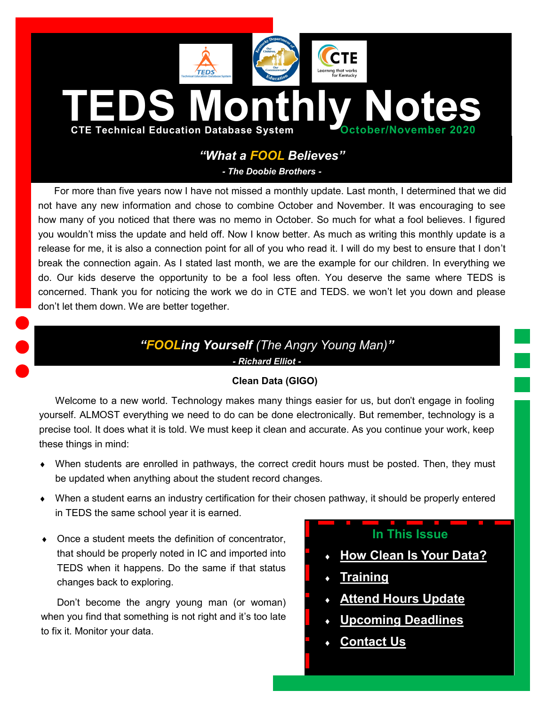<span id="page-0-0"></span>

# *"What a FOOL Believes"*

*- The Doobie Brothers -*

For more than five years now I have not missed a monthly update. Last month, I determined that we did not have any new information and chose to combine October and November. It was encouraging to see how many of you noticed that there was no memo in October. So much for what a fool believes. I figured you wouldn't miss the update and held off. Now I know better. As much as writing this monthly update is a release for me, it is also a connection point for all of you who read it. I will do my best to ensure that I don't break the connection again. As I stated last month, we are the example for our children. In everything we do. Our kids deserve the opportunity to be a fool less often. You deserve the same where TEDS is concerned. Thank you for noticing the work we do in CTE and TEDS. we won't let you down and please don't let them down. We are better together.

# *"FOOLing Yourself (The Angry Young Man)"*

*- Richard Elliot -*

## **Clean Data (GIGO)**

Welcome to a new world. Technology makes many things easier for us, but don't engage in fooling yourself. ALMOST everything we need to do can be done electronically. But remember, technology is a precise tool. It does what it is told. We must keep it clean and accurate. As you continue your work, keep these things in mind:

- When students are enrolled in pathways, the correct credit hours must be posted. Then, they must be updated when anything about the student record changes.
- When a student earns an industry certification for their chosen pathway, it should be properly entered in TEDS the same school year it is earned.
- Once a student meets the definition of concentrator, that should be properly noted in IC and imported into TEDS when it happens. Do the same if that status changes back to exploring.

Don't become the angry young man (or woman) when you find that something is not right and it's too late to fix it. Monitor your data.

# **In This Issue**

- **[How Clean Is Your Data?](#page-0-0)**
- **[Training](#page-1-0)**
- **[Attend Hours Update](#page-1-0)**
- **[Upcoming Deadlines](#page-1-0)**
- **[Contact Us](#page-2-0)**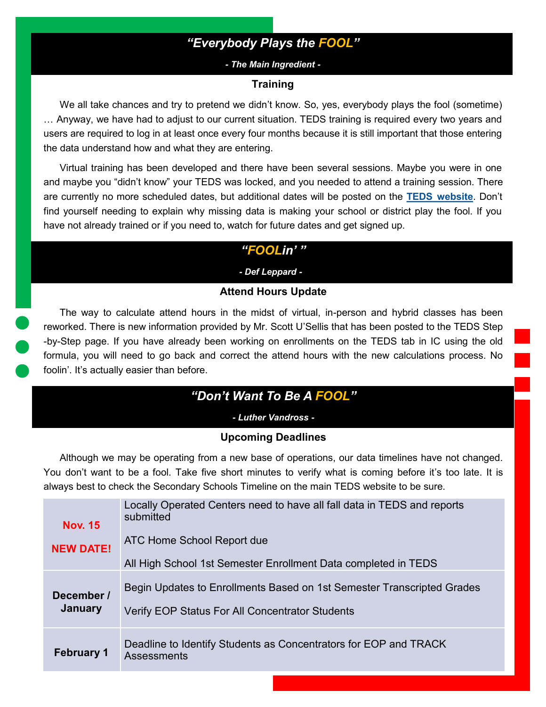# *"Everybody Plays the FOOL"*

### *- The Main Ingredient -*

### **Training**

<span id="page-1-0"></span>We all take chances and try to pretend we didn't know. So, yes, everybody plays the fool (sometime) … Anyway, we have had to adjust to our current situation. TEDS training is required every two years and users are required to log in at least once every four months because it is still important that those entering the data understand how and what they are entering.

Virtual training has been developed and there have been several sessions. Maybe you were in one and maybe you "didn't know" your TEDS was locked, and you needed to attend a training session. There are currently no more scheduled dates, but additional dates will be posted on the **[TEDS website](https://education.ky.gov/CTE/teds/Pages/default.aspx)**. Don't find yourself needing to explain why missing data is making your school or district play the fool. If you have not already trained or if you need to, watch for future dates and get signed up.

## *"FOOLin' "*

*- Def Leppard - -*

## **Attend Hours Update**

The way to calculate attend hours in the midst of virtual, in-person and hybrid classes has been reworked. There is new information provided by Mr. Scott U'Sellis that has been posted to the TEDS Step -by-Step page. If you have already been working on enrollments on the TEDS tab in IC using the old formula, you will need to go back and correct the attend hours with the new calculations process. No foolin'. It's actually easier than before.

# *"Don't Want To Be A FOOL"*

*- Luther Vandross -*

### **Upcoming Deadlines**

Although we may be operating from a new base of operations, our data timelines have not changed. You don't want to be a fool. Take five short minutes to verify what is coming before it's too late. It is always best to check the Secondary Schools Timeline on the main TEDS website to be sure.

|                       | Locally Operated Centers need to have all fall data in TEDS and reports<br>submitted                                             |
|-----------------------|----------------------------------------------------------------------------------------------------------------------------------|
| <b>Nov. 15</b>        |                                                                                                                                  |
| <b>NEW DATE!</b>      | ATC Home School Report due                                                                                                       |
|                       | All High School 1st Semester Enrollment Data completed in TEDS                                                                   |
| December /<br>January | Begin Updates to Enrollments Based on 1st Semester Transcripted Grades<br><b>Verify EOP Status For All Concentrator Students</b> |
|                       |                                                                                                                                  |
| <b>February 1</b>     | Deadline to Identify Students as Concentrators for EOP and TRACK<br>Assessments                                                  |